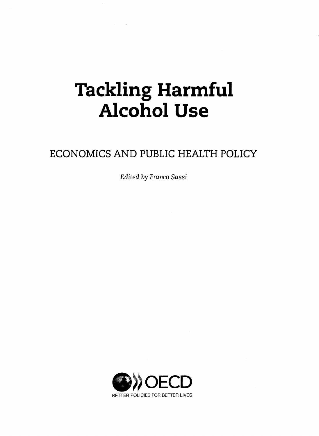## Tackling Harmful Alcohol Use

## ECONOMICS AND PUBLIC HEALTH POLICY

*Edited by Franco Sassi* 

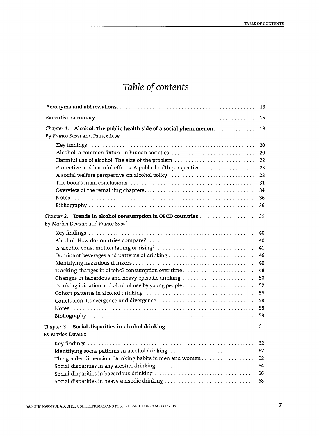## *Table of contents*

|                                                                                                                                                                                                             | 13                                                                   |
|-------------------------------------------------------------------------------------------------------------------------------------------------------------------------------------------------------------|----------------------------------------------------------------------|
|                                                                                                                                                                                                             | 15                                                                   |
| Chapter 1. Alcohol: The public health side of a social phenomenon<br>By Franco Sassi and Patrick Love                                                                                                       | 19                                                                   |
| Harmful use of alcohol: The size of the problem<br>Protective and harmful effects: A public health perspective<br>A social welfare perspective on alcohol policy                                            | 20<br>20<br>22<br>23<br>28<br>31<br>34<br>36<br>36                   |
| Chapter 2. Trends in alcohol consumption in OECD countries<br>By Marion Devaux and Franco Sassi                                                                                                             | 39                                                                   |
| Dominant beverages and patterns of drinking<br>Tracking changes in alcohol consumption over time<br>Changes in hazardous and heavy episodic drinking<br>Drinking initiation and alcohol use by young people | 40<br>40<br>41<br>46<br>48<br>48<br>50<br>52<br>56<br>58<br>58<br>58 |
| Chapter 3. Social disparities in alcohol drinking<br>By Marion Devaux                                                                                                                                       | 61                                                                   |
| Identifying social patterns in alcohol drinking<br>The gender dimension: Drinking habits in men and women<br>Social disparities in heavy episodic drinking                                                  | 62<br>62<br>62<br>64<br>66<br>68                                     |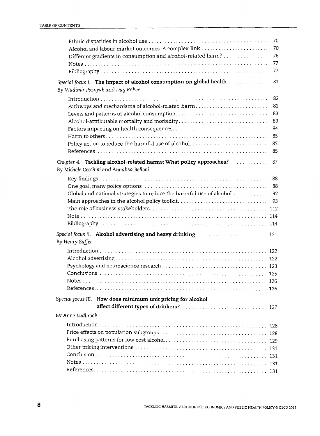|                                                                                                                    | 70<br>70  |
|--------------------------------------------------------------------------------------------------------------------|-----------|
| Alcohol and labour market outcomes: A complex link<br>Different gradients in consumption and alcohol-related harm? | 76        |
|                                                                                                                    | 77        |
|                                                                                                                    | 77        |
| Special focus I. The impact of alcohol consumption on global health<br>By Vladimir Poznyak and Dag Rekve           | 81        |
| Pathways and mechanisms of alcohol-related harm                                                                    | 82<br>82  |
|                                                                                                                    | 83        |
|                                                                                                                    | 83        |
|                                                                                                                    | 84        |
| Policy action to reduce the harmful use of alcohol                                                                 | 85<br>85  |
|                                                                                                                    | 85        |
|                                                                                                                    |           |
| Chapter 4. Tackling alcohol-related harms: What policy approaches?<br>By Michele Cecchini and Annalisa Belloni     | 87        |
|                                                                                                                    | 88        |
| Global and national strategies to reduce the harmful use of alcohol                                                | -88<br>92 |
| Main approaches in the alcohol policy toolkit                                                                      | 93        |
|                                                                                                                    |           |
|                                                                                                                    |           |
|                                                                                                                    |           |
| By Henry Saffer                                                                                                    |           |
|                                                                                                                    |           |
|                                                                                                                    |           |
|                                                                                                                    |           |
|                                                                                                                    |           |
|                                                                                                                    |           |
|                                                                                                                    | 126       |
| Special focus III. How does minimum unit pricing for alcohol                                                       |           |
|                                                                                                                    |           |
| By Anne Ludbrook                                                                                                   |           |
|                                                                                                                    |           |
|                                                                                                                    |           |
|                                                                                                                    |           |
|                                                                                                                    |           |
|                                                                                                                    |           |
|                                                                                                                    |           |